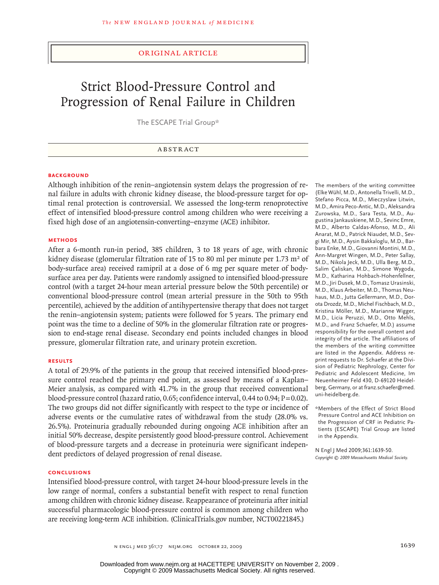# original article

# Strict Blood-Pressure Control and Progression of Renal Failure in Children

The ESCAPE Trial Group\*

#### **BACKGROUND**

Although inhibition of the renin–angiotensin system delays the progression of renal failure in adults with chronic kidney disease, the blood-pressure target for optimal renal protection is controversial. We assessed the long-term renoprotective effect of intensified blood-pressure control among children who were receiving a fixed high dose of an angiotensin-converting–enzyme (ACE) inhibitor.

#### **Methods**

After a 6-month run-in period, 385 children, 3 to 18 years of age, with chronic kidney disease (glomerular filtration rate of 15 to 80 ml per minute per 1.73 m<sup>2</sup> of body-surface area) received ramipril at a dose of 6 mg per square meter of bodysurface area per day. Patients were randomly assigned to intensified blood-pressure control (with a target 24-hour mean arterial pressure below the 50th percentile) or conventional blood-pressure control (mean arterial pressure in the 50th to 95th percentile), achieved by the addition of antihypertensive therapy that does not target the renin–angiotensin system; patients were followed for 5 years. The primary end point was the time to a decline of 50% in the glomerular filtration rate or progression to end-stage renal disease. Secondary end points included changes in blood pressure, glomerular filtration rate, and urinary protein excretion.

## **Results**

A total of 29.9% of the patients in the group that received intensified blood-pressure control reached the primary end point, as assessed by means of a Kaplan– Meier analysis, as compared with 41.7% in the group that received conventional blood-pressure control (hazard ratio, 0.65; confidence interval, 0.44 to 0.94;  $P = 0.02$ ). The two groups did not differ significantly with respect to the type or incidence of adverse events or the cumulative rates of withdrawal from the study (28.0% vs. 26.5%). Proteinuria gradually rebounded during ongoing ACE inhibition after an initial 50% decrease, despite persistently good blood-pressure control. Achievement of blood-pressure targets and a decrease in proteinuria were significant independent predictors of delayed progression of renal disease.

# **Conclusions**

Intensified blood-pressure control, with target 24-hour blood-pressure levels in the low range of normal, confers a substantial benefit with respect to renal function among children with chronic kidney disease. Reappearance of proteinuria after initial successful pharmacologic blood-pressure control is common among children who are receiving long-term ACE inhibition. (ClinicalTrials.gov number, NCT00221845.)

The members of the writing committee (Elke Wühl, M.D., Antonella Trivelli, M.D., Stefano Picca, M.D., Mieczyslaw Litwin, M.D., Amira Peco-Antic, M.D., Aleksandra Zurowska, M.D., Sara Testa, M.D., Augustina Jankauskiene, M.D., Sevinc Emre, M.D., Alberto Caldas-Afonso, M.D., Ali Anarat, M.D., Patrick Niaudet, M.D., Sevgi Mir, M.D., Aysin Bakkaloglu, M.D., Barbara Enke, M.D., Giovanni Montini, M.D., Ann-Margret Wingen, M.D., Peter Sallay, M.D., Nikola Jeck, M.D., Ulla Berg, M.D., Salim Çaliskan, M.D., Simone Wygoda, M.D., Katharina Hohbach-Hohenfellner, M.D., Jiri Dusek, M.D., Tomasz Urasinski, M.D., Klaus Arbeiter, M.D., Thomas Neuhaus, M.D., Jutta Gellermann, M.D., Dorota Drozdz, M.D., Michel Fischbach, M.D., Kristina Möller, M.D., Marianne Wigger, M.D., Licia Peruzzi, M.D., Otto Mehls, M.D., and Franz Schaefer, M.D.) assume responsibility for the overall content and integrity of the article. The affiliations of the members of the writing committee are listed in the Appendix. Address reprint requests to Dr. Schaefer at the Division of Pediatric Nephrology, Center for Pediatric and Adolescent Medicine, Im Neuenheimer Feld 430, D-69120 Heidelberg, Germany, or at franz.schaefer@med. uni-heidelberg.de.

\*Members of the Effect of Strict Blood Pressure Control and ACE Inhibition on the Progression of CRF in Pediatric Patients (ESCAPE) Trial Group are listed in the Appendix.

N Engl J Med 2009;361:1639-50. *Copyright © 2009 Massachusetts Medical Society.*

n engl j med 361;17 nejm.org october 22, 2009 1639 1639

Copyright © 2009 Massachusetts Medical Society. All rights reserved. Downloaded from www.nejm.org at HACETTEPE UNIVERSITY on November 2, 2009 .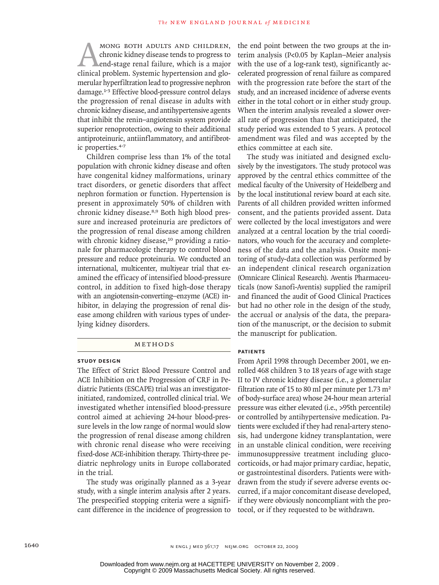MONG BOTH ADULTS AND CHILDREN,<br>
chronic kidney disease tends to progress to<br>
end-stage renal failure, which is a major<br>
clinical problem. Systemic hypertension and glochronic kidney disease tends to progress to end-stage renal failure, which is a major merular hyperfiltration lead to progressive nephron damage.1-3 Effective blood-pressure control delays the progression of renal disease in adults with chronic kidney disease, and antihypertensive agents that inhibit the renin–angiotensin system provide superior renoprotection, owing to their additional antiproteinuric, antiinflammatory, and antifibrotic properties.4-7

Children comprise less than 1% of the total population with chronic kidney disease and often have congenital kidney malformations, urinary tract disorders, or genetic disorders that affect nephron formation or function. Hypertension is present in approximately 50% of children with chronic kidney disease.8,9 Both high blood pressure and increased proteinuria are predictors of the progression of renal disease among children with chronic kidney disease,<sup>10</sup> providing a rationale for pharmacologic therapy to control blood pressure and reduce proteinuria. We conducted an international, multicenter, multiyear trial that examined the efficacy of intensified blood-pressure control, in addition to fixed high-dose therapy with an angiotensin-converting–enzyme (ACE) inhibitor, in delaying the progression of renal disease among children with various types of underlying kidney disorders.

#### Methods

#### **Study Design**

The Effect of Strict Blood Pressure Control and ACE Inhibition on the Progression of CRF in Pediatric Patients (ESCAPE) trial was an investigatorinitiated, randomized, controlled clinical trial. We investigated whether intensified blood-pressure control aimed at achieving 24-hour blood-pressure levels in the low range of normal would slow the progression of renal disease among children with chronic renal disease who were receiving fixed-dose ACE-inhibition therapy. Thirty-three pediatric nephrology units in Europe collaborated in the trial.

The study was originally planned as a 3-year study, with a single interim analysis after 2 years. The prespecified stopping criteria were a significant difference in the incidence of progression to the end point between the two groups at the interim analysis (P<0.05 by Kaplan–Meier analysis with the use of a log-rank test), significantly accelerated progression of renal failure as compared with the progression rate before the start of the study, and an increased incidence of adverse events either in the total cohort or in either study group. When the interim analysis revealed a slower overall rate of progression than that anticipated, the study period was extended to 5 years. A protocol amendment was filed and was accepted by the ethics committee at each site.

The study was initiated and designed exclusively by the investigators. The study protocol was approved by the central ethics committee of the medical faculty of the University of Heidelberg and by the local institutional review board at each site. Parents of all children provided written informed consent, and the patients provided assent. Data were collected by the local investigators and were analyzed at a central location by the trial coordinators, who vouch for the accuracy and completeness of the data and the analysis. Onsite monitoring of study-data collection was performed by an independent clinical research organization (Omnicare Clinical Research). Aventis Pharmaceuticals (now Sanofi-Aventis) supplied the ramipril and financed the audit of Good Clinical Practices but had no other role in the design of the study, the accrual or analysis of the data, the preparation of the manuscript, or the decision to submit the manuscript for publication.

# **Patients**

From April 1998 through December 2001, we enrolled 468 children 3 to 18 years of age with stage II to IV chronic kidney disease (i.e., a glomerular filtration rate of 15 to 80 ml per minute per 1.73 m<sup>2</sup> of body-surface area) whose 24-hour mean arterial pressure was either elevated (i.e., >95th percentile) or controlled by antihypertensive medication. Patients were excluded if they had renal-artery stenosis, had undergone kidney transplantation, were in an unstable clinical condition, were receiving immunosuppressive treatment including glucocorticoids, or had major primary cardiac, hepatic, or gastrointestinal disorders. Patients were withdrawn from the study if severe adverse events occurred, if a major concomitant disease developed, if they were obviously noncompliant with the protocol, or if they requested to be withdrawn.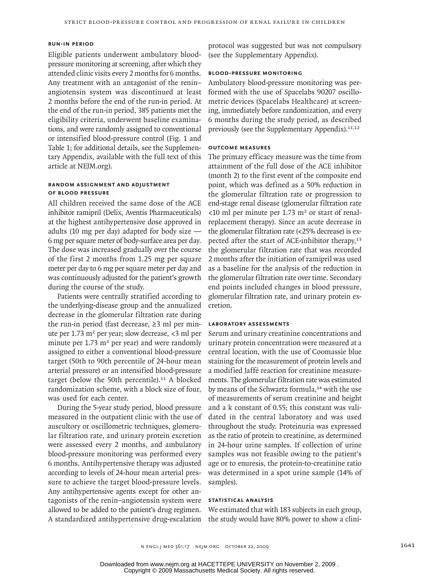## **Run-in Period**

Eligible patients underwent ambulatory bloodpressure monitoring at screening, after which they attended clinic visits every 2 months for 6 months. Any treatment with an antagonist of the renin– angiotensin system was discontinued at least 2 months before the end of the run-in period. At the end of the run-in period, 385 patients met the eligibility criteria, underwent baseline examinations, and were randomly assigned to conventional or intensified blood-pressure control (Fig. 1 and Table 1; for additional details, see the Supplementary Appendix, available with the full text of this article at NEJM.org).

# **Random Assignment and Adjustment of Blood Pressure**

All children received the same dose of the ACE inhibitor ramipril (Delix, Aventis Pharmaceuticals) at the highest antihypertensive dose approved in adults (10 mg per day) adapted for body size — 6 mg per square meter of body-surface area per day. The dose was increased gradually over the course of the first 2 months from 1.25 mg per square meter per day to 6 mg per square meter per day and was continuously adjusted for the patient's growth during the course of the study.

Patients were centrally stratified according to the underlying-disease group and the annualized decrease in the glomerular filtration rate during the run-in period (fast decrease, ≥3 ml per minute per 1.73 m<sup>2</sup> per year; slow decrease,  $\langle 3 \rangle$  ml per minute per  $1.73 \text{ m}^2$  per year) and were randomly assigned to either a conventional blood-pressure target (50th to 90th percentile of 24-hour mean arterial pressure) or an intensified blood-pressure target (below the 50th percentile). $11$  A blocked randomization scheme, with a block size of four, was used for each center.

During the 5-year study period, blood pressure measured in the outpatient clinic with the use of auscultory or oscillometric techniques, glomerular filtration rate, and urinary protein excretion were assessed every 2 months, and ambulatory blood-pressure monitoring was performed every 6 months. Antihypertensive therapy was adjusted according to levels of 24-hour mean arterial pressure to achieve the target blood-pressure levels. Any antihypertensive agents except for other antagonists of the renin–angiotensin system were allowed to be added to the patient's drug regimen. A standardized antihypertensive drug-escalation

protocol was suggested but was not compulsory (see the Supplementary Appendix).

# **Blood-Pressure Monitoring**

Ambulatory blood-pressure monitoring was performed with the use of Spacelabs 90207 oscillometric devices (Spacelabs Healthcare) at screening, immediately before randomization, and every 6 months during the study period, as described previously (see the Supplementary Appendix).11,12

# **Outcome Measures**

The primary efficacy measure was the time from attainment of the full dose of the ACE inhibitor (month 2) to the first event of the composite end point, which was defined as a 50% reduction in the glomerular filtration rate or progression to end-stage renal disease (glomerular filtration rate  $\langle$ 10 ml per minute per 1.73 m<sup>2</sup> or start of renalreplacement therapy). Since an acute decrease in the glomerular filtration rate (<25% decrease) is expected after the start of ACE-inhibitor therapy,<sup>13</sup> the glomerular filtration rate that was recorded 2 months after the initiation of ramipril was used as a baseline for the analysis of the reduction in the glomerular filtration rate over time. Secondary end points included changes in blood pressure, glomerular filtration rate, and urinary protein excretion.

## **Laboratory Assessments**

Serum and urinary creatinine concentrations and urinary protein concentration were measured at a central location, with the use of Coomassie blue staining for the measurement of protein levels and a modified Jaffé reaction for creatinine measurements. The glomerular filtration rate was estimated by means of the Schwartz formula,<sup>14</sup> with the use of measurements of serum creatinine and height and a k constant of 0.55; this constant was validated in the central laboratory and was used throughout the study. Proteinuria was expressed as the ratio of protein to creatinine, as determined in 24-hour urine samples. If collection of urine samples was not feasible owing to the patient's age or to enuresis, the protein-to-creatinine ratio was determined in a spot urine sample (14% of samples).

# **Statistical Analysis**

We estimated that with 183 subjects in each group, the study would have 80% power to show a clini-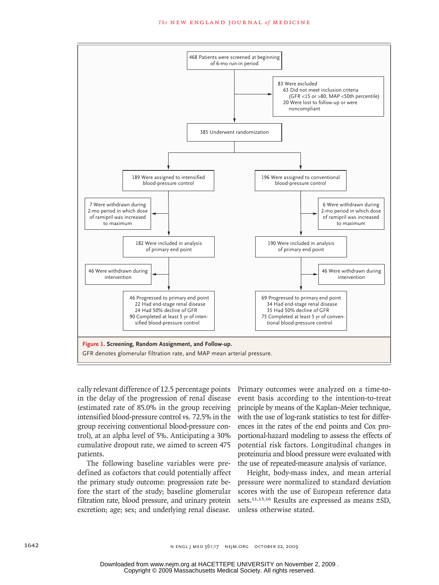#### **The NEW ENGLAND JOURNAL of MEDICINE**



cally relevant difference of 12.5 percentage points in the delay of the progression of renal disease (estimated rate of  $85.0\%$  in the group receiving intensified blood-pressure control vs.  $72.5\%$  in the wi group receiving conventional blood-pressure control), at an alpha level of 5%. Anticipating a 30% cumulative dropout rate, we aimed to screen 475 patients. In of renal diseas  $\cdot$  .  $\cdot$ 

The following baseline variables were predefined as cofactors that could potentially affect Height, both the primary study outcome: progression rate before the start of the study; baseline glomerular filtration rate, blood pressure, and urinary protein excretion; age; sex; and underlying renal disease. unless otherwise stated.

Primary outcomes were analyzed on a time-toevent basis according to the intention-to-treat principle by means of the Kaplan–Meier technique, with the use of log-rank statistics to test for differences in the rates of the end points and Cox proportional-hazard modeling to assess the effects of <sup>1</sup> and to screen 475 potential risk factors. Longitudinal changes in proteinuria and blood pressure were evaluated with the use of repeated-measure analysis of variance. Revised 2nd

Height, body-mass index, and mean arterial pressure were normalized to standard deviation scores with the use of European reference data sets.<sup>11,15,16</sup> Results are expressed as means  $\pm$ SD,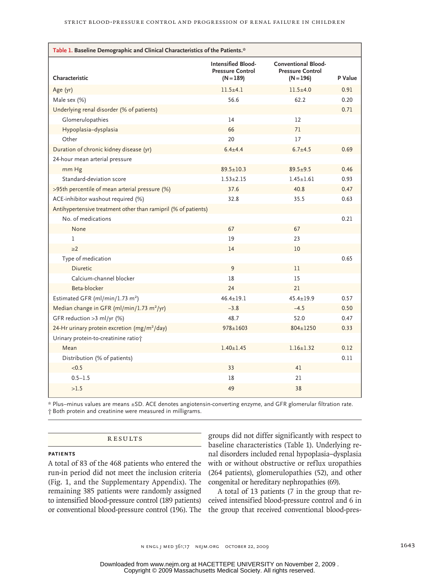| Table 1. Baseline Demographic and Clinical Characteristics of the Patients.* |                                                                     |                                                                      |         |  |  |  |  |
|------------------------------------------------------------------------------|---------------------------------------------------------------------|----------------------------------------------------------------------|---------|--|--|--|--|
| Characteristic                                                               | <b>Intensified Blood-</b><br><b>Pressure Control</b><br>$(N = 189)$ | <b>Conventional Blood-</b><br><b>Pressure Control</b><br>$(N = 196)$ | P Value |  |  |  |  |
| Age (yr)                                                                     | $11.5 + 4.1$                                                        | $11.5 + 4.0$                                                         | 0.91    |  |  |  |  |
| Male sex (%)                                                                 | 56.6                                                                | 62.2                                                                 | 0.20    |  |  |  |  |
| Underlying renal disorder (% of patients)                                    |                                                                     |                                                                      | 0.71    |  |  |  |  |
| Glomerulopathies                                                             | 14                                                                  | 12                                                                   |         |  |  |  |  |
| Hypoplasia-dysplasia                                                         | 66                                                                  | 71                                                                   |         |  |  |  |  |
| Other                                                                        | 20                                                                  | 17                                                                   |         |  |  |  |  |
| Duration of chronic kidney disease (yr)                                      | $6.4 + 4.4$                                                         | $6.7 + 4.5$                                                          | 0.69    |  |  |  |  |
| 24-hour mean arterial pressure                                               |                                                                     |                                                                      |         |  |  |  |  |
| mm Hg                                                                        | $89.5 \pm 10.3$                                                     | $89.5 + 9.5$                                                         | 0.46    |  |  |  |  |
| Standard-deviation score                                                     | $1.53 + 2.15$                                                       | $1.45 + 1.61$                                                        | 0.93    |  |  |  |  |
| >95th percentile of mean arterial pressure (%)                               | 37.6                                                                | 40.8                                                                 | 0.47    |  |  |  |  |
| ACE-inhibitor washout required (%)                                           | 32.8                                                                | 35.5                                                                 | 0.63    |  |  |  |  |
| Antihypertensive treatment other than ramipril (% of patients)               |                                                                     |                                                                      |         |  |  |  |  |
| No. of medications                                                           |                                                                     |                                                                      | 0.21    |  |  |  |  |
| None                                                                         | 67                                                                  | 67                                                                   |         |  |  |  |  |
| 1                                                                            | 19                                                                  | 23                                                                   |         |  |  |  |  |
| $\geq$ 2                                                                     | 14                                                                  | 10                                                                   |         |  |  |  |  |
| Type of medication                                                           |                                                                     |                                                                      | 0.65    |  |  |  |  |
| <b>Diuretic</b>                                                              | 9                                                                   | 11                                                                   |         |  |  |  |  |
| Calcium-channel blocker                                                      | 18                                                                  | 15                                                                   |         |  |  |  |  |
| Beta-blocker                                                                 | 24                                                                  | 21                                                                   |         |  |  |  |  |
| Estimated GFR (ml/min/1.73 m <sup>2</sup> )                                  | $46.4 \pm 19.1$                                                     | $45.4 \pm 19.9$                                                      | 0.57    |  |  |  |  |
| Median change in GFR (ml/min/1.73 m <sup>2</sup> /yr)                        | $-3.8$                                                              | $-4.5$                                                               | 0.50    |  |  |  |  |
| GFR reduction >3 ml/yr (%)                                                   | 48.7                                                                | 52.0                                                                 | 0.47    |  |  |  |  |
| 24-Hr urinary protein excretion (mg/m <sup>2</sup> /day)                     | $978 \pm 1603$                                                      | $804 \pm 1250$                                                       | 0.33    |  |  |  |  |
| Urinary protein-to-creatinine ratio†                                         |                                                                     |                                                                      |         |  |  |  |  |
| Mean                                                                         | $1.40 \pm 1.45$                                                     | $1.16 \pm 1.32$                                                      | 0.12    |  |  |  |  |
| Distribution (% of patients)                                                 |                                                                     |                                                                      | 0.11    |  |  |  |  |
| < 0.5                                                                        | 33                                                                  | 41                                                                   |         |  |  |  |  |
| $0.5 - 1.5$                                                                  | 18                                                                  | 21                                                                   |         |  |  |  |  |
| >1.5                                                                         | 49                                                                  | 38                                                                   |         |  |  |  |  |

\* Plus–minus values are means ±SD. ACE denotes angiotensin-converting enzyme, and GFR glomerular filtration rate. † Both protein and creatinine were measured in milligrams.

### **RESULTS**

#### **Patients**

A total of 83 of the 468 patients who entered the run-in period did not meet the inclusion criteria (Fig. 1, and the Supplementary Appendix). The remaining 385 patients were randomly assigned to intensified blood-pressure control (189 patients) or conventional blood-pressure control (196). The

groups did not differ significantly with respect to baseline characteristics (Table 1). Underlying renal disorders included renal hypoplasia–dysplasia with or without obstructive or reflux uropathies (264 patients), glomerulopathies (52), and other congenital or hereditary nephropathies (69).

A total of 13 patients (7 in the group that received intensified blood-pressure control and 6 in the group that received conventional blood-pres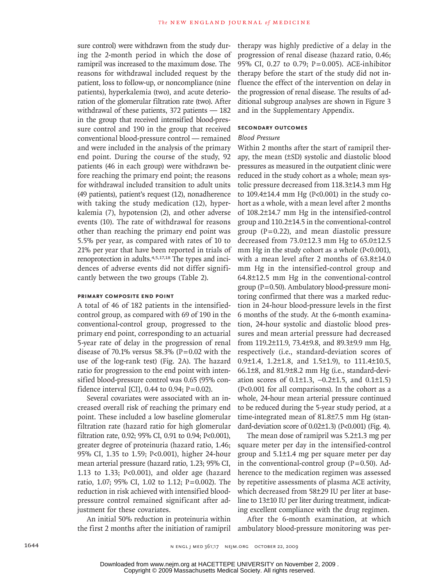sure control) were withdrawn from the study during the 2-month period in which the dose of ramipril was increased to the maximum dose. The reasons for withdrawal included request by the patient, loss to follow-up, or noncompliance (nine patients), hyperkalemia (two), and acute deterioration of the glomerular filtration rate (two). After withdrawal of these patients, 372 patients — 182 in the group that received intensified blood-pressure control and 190 in the group that received conventional blood-pressure control — remained and were included in the analysis of the primary end point. During the course of the study, 92 patients (46 in each group) were withdrawn before reaching the primary end point; the reasons for withdrawal included transition to adult units (49 patients), patient's request (12), nonadherence with taking the study medication (12), hyperkalemia (7), hypotension (2), and other adverse events (10). The rate of withdrawal for reasons other than reaching the primary end point was 5.5% per year, as compared with rates of 10 to 21% per year that have been reported in trials of renoprotection in adults.4,5,17,18 The types and incidences of adverse events did not differ significantly between the two groups (Table 2).

# **Primary Composite End Point**

A total of 46 of 182 patients in the intensifiedcontrol group, as compared with 69 of 190 in the conventional-control group, progressed to the primary end point, corresponding to an actuarial 5-year rate of delay in the progression of renal disease of 70.1% versus 58.3% (P=0.02 with the use of the log-rank test) (Fig. 2A). The hazard ratio for progression to the end point with intensified blood-pressure control was 0.65 (95% confidence interval [CI], 0.44 to 0.94;  $P = 0.02$ ).

Several covariates were associated with an increased overall risk of reaching the primary end point. These included a low baseline glomerular filtration rate (hazard ratio for high glomerular filtration rate, 0.92; 95% CI, 0.91 to 0.94; P<0.001), greater degree of proteinuria (hazard ratio, 1.46; 95% CI, 1.35 to 1.59; P<0.001), higher 24-hour mean arterial pressure (hazard ratio, 1.23; 95% CI, 1.13 to 1.33; P<0.001), and older age (hazard ratio, 1.07; 95% CI, 1.02 to 1.12; P=0.002). The reduction in risk achieved with intensified bloodpressure control remained significant after adjustment for these covariates.

An initial 50% reduction in proteinuria within

therapy was highly predictive of a delay in the progression of renal disease (hazard ratio, 0.46; 95% CI, 0.27 to 0.79; P=0.005). ACE-inhibitor therapy before the start of the study did not influence the effect of the intervention on delay in the progression of renal disease. The results of additional subgroup analyses are shown in Figure 3 and in the Supplementary Appendix.

# **Secondary Outcomes**

# *Blood Pressure*

Within 2 months after the start of ramipril therapy, the mean (±SD) systolic and diastolic blood pressures as measured in the outpatient clinic were reduced in the study cohort as a whole; mean systolic pressure decreased from 118.3±14.3 mm Hg to 109.4±14.4 mm Hg (P<0.001) in the study cohort as a whole, with a mean level after 2 months of 108.2±14.7 mm Hg in the intensified-control group and 110.2±14.5 in the conventional-control group  $(P=0.22)$ , and mean diastolic pressure decreased from 73.0±12.3 mm Hg to 65.0±12.5 mm Hg in the study cohort as a whole (P<0.001), with a mean level after 2 months of 63.8±14.0 mm Hg in the intensified-control group and 64.8±12.5 mm Hg in the conventional-control group (P=0.50). Ambulatory blood-pressure monitoring confirmed that there was a marked reduction in 24-hour blood-pressure levels in the first 6 months of the study. At the 6-month examination, 24-hour systolic and diastolic blood pressures and mean arterial pressure had decreased from 119.2±11.9, 73.4±9.8, and 89.3±9.9 mm Hg, respectively (i.e., standard-deviation scores of 0.9±1.4, 1.2±1.8, and 1.5±1.9), to 111.4±10.5, 66.1±8, and 81.9±8.2 mm Hg (i.e., standard-deviation scores of 0.1±1.3, −0.2±1.5, and 0.1±1.5) (P<0.001 for all comparisons). In the cohort as a whole, 24-hour mean arterial pressure continued to be reduced during the 5-year study period, at a time-integrated mean of 81.8±7.5 mm Hg (standard-deviation score of  $0.02\pm1.3$ ) (P<0.001) (Fig. 4).

The mean dose of ramipril was 5.2±1.3 mg per square meter per day in the intensified-control group and 5.1±1.4 mg per square meter per day in the conventional-control group  $(P=0.50)$ . Adherence to the medication regimen was assessed by repetitive assessments of plasma ACE activity, which decreased from 58±29 IU per liter at baseline to 13±10 IU per liter during treatment, indicating excellent compliance with the drug regimen.

the first 2 months after the initiation of ramipril ambulatory blood-pressure monitoring was per-After the 6-month examination, at which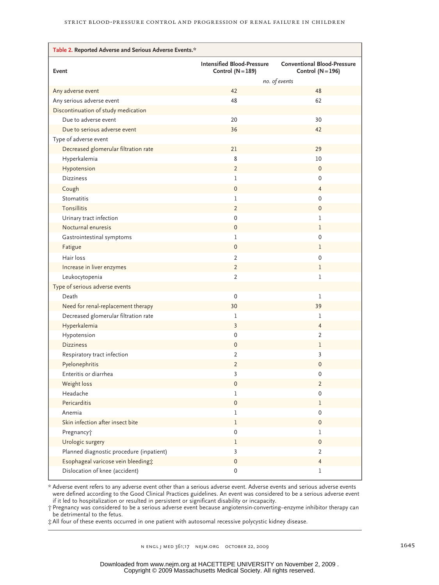| Table 2. Reported Adverse and Serious Adverse Events.* |                                                          |                                                           |  |  |  |  |  |  |
|--------------------------------------------------------|----------------------------------------------------------|-----------------------------------------------------------|--|--|--|--|--|--|
| Event                                                  | <b>Intensified Blood-Pressure</b><br>Control $(N = 189)$ | <b>Conventional Blood-Pressure</b><br>Control $(N = 196)$ |  |  |  |  |  |  |
|                                                        | no. of events                                            |                                                           |  |  |  |  |  |  |
| Any adverse event                                      | 42                                                       | 48                                                        |  |  |  |  |  |  |
| Any serious adverse event                              | 48                                                       | 62                                                        |  |  |  |  |  |  |
| Discontinuation of study medication                    |                                                          |                                                           |  |  |  |  |  |  |
| Due to adverse event                                   | 20                                                       | 30                                                        |  |  |  |  |  |  |
| Due to serious adverse event                           | 36                                                       | 42                                                        |  |  |  |  |  |  |
| Type of adverse event                                  |                                                          |                                                           |  |  |  |  |  |  |
| Decreased glomerular filtration rate                   | 21                                                       | 29                                                        |  |  |  |  |  |  |
| Hyperkalemia                                           | 8                                                        | 10                                                        |  |  |  |  |  |  |
| Hypotension                                            | 2                                                        | 0                                                         |  |  |  |  |  |  |
| <b>Dizziness</b>                                       | 1                                                        | 0                                                         |  |  |  |  |  |  |
| Cough                                                  | 0                                                        | 4                                                         |  |  |  |  |  |  |
| Stomatitis                                             | 1                                                        | 0                                                         |  |  |  |  |  |  |
| <b>Tonsillitis</b>                                     | 2                                                        | 0                                                         |  |  |  |  |  |  |
| Urinary tract infection                                | 0                                                        | 1                                                         |  |  |  |  |  |  |
| Nocturnal enuresis                                     | 0                                                        | 1                                                         |  |  |  |  |  |  |
| Gastrointestinal symptoms                              | 1                                                        | 0                                                         |  |  |  |  |  |  |
| Fatigue                                                | $\mathbf 0$                                              | 1                                                         |  |  |  |  |  |  |
| Hair loss                                              | 2                                                        | 0                                                         |  |  |  |  |  |  |
| Increase in liver enzymes                              | $\overline{2}$                                           | 1                                                         |  |  |  |  |  |  |
| Leukocytopenia                                         | $\overline{2}$                                           | 1                                                         |  |  |  |  |  |  |
| Type of serious adverse events                         |                                                          |                                                           |  |  |  |  |  |  |
| Death                                                  | 0                                                        | 1                                                         |  |  |  |  |  |  |
| Need for renal-replacement therapy                     | 30                                                       | 39                                                        |  |  |  |  |  |  |
| Decreased glomerular filtration rate                   | 1                                                        | 1                                                         |  |  |  |  |  |  |
| Hyperkalemia                                           | 3                                                        | 4                                                         |  |  |  |  |  |  |
| Hypotension                                            | 0                                                        | $\overline{2}$                                            |  |  |  |  |  |  |
| <b>Dizziness</b>                                       | 0                                                        | 1                                                         |  |  |  |  |  |  |
| Respiratory tract infection                            | $\overline{2}$                                           | 3                                                         |  |  |  |  |  |  |
| Pyelonephritis                                         | $\overline{2}$                                           | $\mathbf 0$                                               |  |  |  |  |  |  |
| Enteritis or diarrhea                                  | 3                                                        | 0                                                         |  |  |  |  |  |  |
| Weight loss                                            | $\mathbf 0$                                              | 2                                                         |  |  |  |  |  |  |
| Headache                                               | 1                                                        | 0                                                         |  |  |  |  |  |  |
| Pericarditis                                           | 0                                                        | 1                                                         |  |  |  |  |  |  |
| Anemia                                                 | 1                                                        | 0                                                         |  |  |  |  |  |  |
| Skin infection after insect bite                       | $\mathbf 1$                                              | $\mathsf{O}\xspace$                                       |  |  |  |  |  |  |
| Pregnancy <sup>+</sup>                                 | $\pmb{0}$                                                | $\mathbf 1$                                               |  |  |  |  |  |  |
| Urologic surgery                                       | $\mathbf 1$                                              | $\mathsf{O}\xspace$                                       |  |  |  |  |  |  |
| Planned diagnostic procedure (inpatient)               | 3                                                        | $\overline{2}$                                            |  |  |  |  |  |  |
| Esophageal varicose vein bleeding;                     | $\mathsf 0$                                              | $\overline{4}$                                            |  |  |  |  |  |  |
| Dislocation of knee (accident)                         | $\mathsf{O}\xspace$                                      | 1                                                         |  |  |  |  |  |  |

\* Adverse event refers to any adverse event other than a serious adverse event. Adverse events and serious adverse events were defined according to the Good Clinical Practices guidelines. An event was considered to be a serious adverse event if it led to hospitalization or resulted in persistent or significant disability or incapacity.

† Pregnancy was considered to be a serious adverse event because angiotensin-converting–enzyme inhibitor therapy can be detrimental to the fetus.

‡ All four of these events occurred in one patient with autosomal recessive polycystic kidney disease.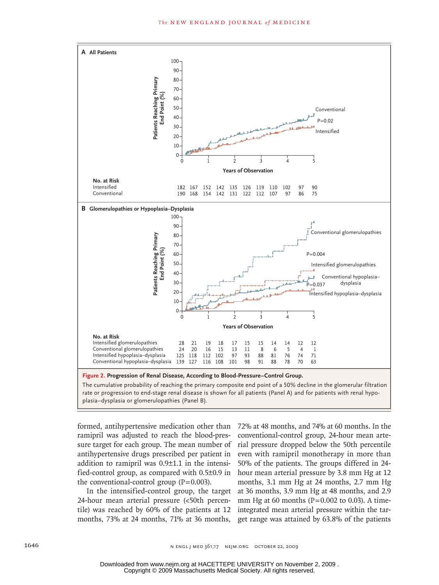

rate or progression to end-stage renal disease is shown for all patients (Panel A) and for patients with renal hypoplasia–dysplasia or glomerulopathies (Panel B).

ramipril was adjusted to reach the blood-pressure target for each group. The mean number of  $\;$  rial pressure dropped below the 50th percentile antihypertensive drugs prescribed per patient in even with ramipril monotherapy in more than addition to ramipril was  $0.9\pm1.1$  in the intensified-control group, as compared with 0.5±0.9 in hour mean arterial pressure by 3.8 mm Hg at 12 the conventional-control group  $(P=0.003)$ .

24-hour mean arterial pressure (<50th percen- mm Hg at 60 months (P=0.002 to 0.03). A timetile) was reached by 60% of the patients at 12 integrated mean arterial pressure within the tar-

formed, antihypertensive medication other than 72% at 48 months, and 74% at 60 months. In the In the intensified-control group, the target at 36 months, 3.9 mm Hg at 48 months, and 2.9 months, 73% at 24 months, 71% at 36 months, get range was attained by 63.8% of the patients conventional-control group, 24-hour mean arte-50% of the patients. The groups differed in 24- $10,003$ , months, 3.1 mm Hg at 24 months, 2.7 mm Hg

Copyright © 2009 Massachusetts Medical Society. All rights reserved. Downloaded from www.nejm.org at HACETTEPE UNIVERSITY on November 2, 2009 .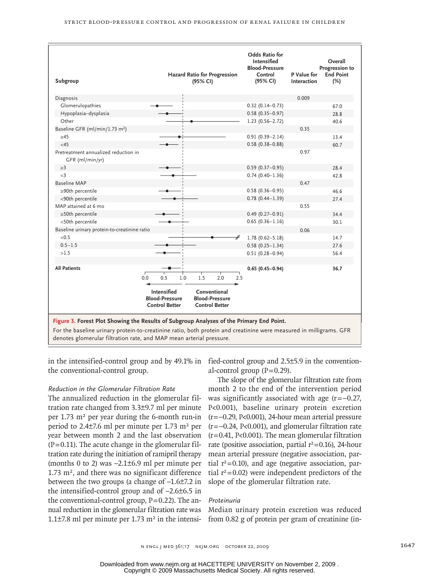| Subgroup                                                                                                                                                                                                                                                                              |     |                                                                      | <b>Hazard Ratio for Progression</b><br>(95% CI) |                                                                |     | <b>Odds Ratio for</b><br><b>Intensified</b><br><b>Blood-Pressure</b><br>Control<br>(95% CI) | P Value for<br>Interaction | Overall<br>Progression to<br><b>End Point</b><br>(%) |
|---------------------------------------------------------------------------------------------------------------------------------------------------------------------------------------------------------------------------------------------------------------------------------------|-----|----------------------------------------------------------------------|-------------------------------------------------|----------------------------------------------------------------|-----|---------------------------------------------------------------------------------------------|----------------------------|------------------------------------------------------|
| Diagnosis                                                                                                                                                                                                                                                                             |     |                                                                      |                                                 |                                                                |     |                                                                                             | 0.009                      |                                                      |
| Glomerulopathies                                                                                                                                                                                                                                                                      |     |                                                                      |                                                 |                                                                |     | $0.32(0.14 - 0.73)$                                                                         |                            | 67.0                                                 |
| Hypoplasia-dysplasia                                                                                                                                                                                                                                                                  |     |                                                                      |                                                 |                                                                |     | $0.58(0.35 - 0.97)$                                                                         |                            | 28.8                                                 |
| Other                                                                                                                                                                                                                                                                                 |     |                                                                      |                                                 |                                                                |     | $1.23$ (0.56-2.72)                                                                          |                            | 40.6                                                 |
| Baseline GFR (ml/min/1.73 m <sup>2</sup> )                                                                                                                                                                                                                                            |     |                                                                      |                                                 |                                                                |     |                                                                                             | 0.35                       |                                                      |
| $\geq 45$                                                                                                                                                                                                                                                                             |     |                                                                      |                                                 |                                                                |     | $0.91(0.39 - 2.14)$                                                                         |                            | 13.4                                                 |
| <45                                                                                                                                                                                                                                                                                   |     |                                                                      |                                                 |                                                                |     | $0.58(0.38 - 0.88)$                                                                         |                            | 60.7                                                 |
| Pretreatment annualized reduction in<br>GFR (ml/min/yr)                                                                                                                                                                                                                               |     |                                                                      |                                                 |                                                                |     |                                                                                             | 0.97                       |                                                      |
| $\geq$ 3                                                                                                                                                                                                                                                                              |     |                                                                      |                                                 |                                                                |     | $0.59(0.37 - 0.95)$                                                                         |                            | 28.4                                                 |
| $\leq$ 3                                                                                                                                                                                                                                                                              |     |                                                                      |                                                 |                                                                |     | $0.74(0.40 - 1.36)$                                                                         |                            | 42.8                                                 |
| <b>Baseline MAP</b>                                                                                                                                                                                                                                                                   |     |                                                                      |                                                 |                                                                |     |                                                                                             | 0.47                       |                                                      |
| ≥90th percentile                                                                                                                                                                                                                                                                      |     |                                                                      |                                                 |                                                                |     | $0.58(0.36 - 0.95)$                                                                         |                            | 46.6                                                 |
| <90th percentile                                                                                                                                                                                                                                                                      |     |                                                                      |                                                 |                                                                |     | $0.78(0.44 - 1.39)$                                                                         |                            | 27.4                                                 |
| MAP attained at 6 mo                                                                                                                                                                                                                                                                  |     |                                                                      |                                                 |                                                                |     |                                                                                             | 0.55                       |                                                      |
| $\geq$ 50th percentile                                                                                                                                                                                                                                                                |     |                                                                      |                                                 |                                                                |     | $0.49(0.27 - 0.91)$                                                                         |                            | 34.4                                                 |
| <50th percentile                                                                                                                                                                                                                                                                      |     |                                                                      |                                                 |                                                                |     | $0.65(0.36 - 1.16)$                                                                         |                            | 30.1                                                 |
| Baseline urinary protein-to-creatinine ratio                                                                                                                                                                                                                                          |     |                                                                      |                                                 |                                                                |     |                                                                                             | 0.06                       |                                                      |
| < 0.5                                                                                                                                                                                                                                                                                 |     |                                                                      |                                                 |                                                                | #   | $1.78(0.62 - 5.18)$                                                                         |                            | 14.7                                                 |
| $0.5 - 1.5$                                                                                                                                                                                                                                                                           |     |                                                                      |                                                 |                                                                |     | $0.58(0.25 - 1.34)$                                                                         |                            | 27.6                                                 |
| >1.5                                                                                                                                                                                                                                                                                  |     |                                                                      |                                                 |                                                                |     | $0.51(0.28 - 0.94)$                                                                         |                            | 56.4                                                 |
|                                                                                                                                                                                                                                                                                       |     |                                                                      |                                                 |                                                                |     |                                                                                             |                            |                                                      |
| <b>All Patients</b>                                                                                                                                                                                                                                                                   | 0.0 | 0.5<br>1.0                                                           | 1.5                                             | 2.0                                                            | 2.5 | $0.65(0.45 - 0.94)$                                                                         |                            | 36.7                                                 |
|                                                                                                                                                                                                                                                                                       |     | <b>Intensified</b><br><b>Blood-Pressure</b><br><b>Control Better</b> |                                                 | Conventional<br><b>Blood-Pressure</b><br><b>Control Better</b> |     |                                                                                             |                            |                                                      |
| Figure 3. Forest Plot Showing the Results of Subgroup Analyses of the Primary End Point.<br>For the baseline urinary protein-to-creatinine ratio, both protein and creatinine were measured in milligrams. GFR<br>denotes glomerular filtration rate, and MAP mean arterial pressure. |     |                                                                      |                                                 |                                                                |     |                                                                                             |                            |                                                      |

in the intensified-control group and by 49.1% in fied-control group and 2.5±5.9 in the conventionthe conventional-control group.

FIGURE:

 $\overline{a}$ 

# *Reduction in the Glomerular Filtration Rate*

The annualized reduction in the glomerular filtration rate changed from 3.3±9.7 ml per minute per  $1.73 \text{ m}^2$  per year during the 6-month run-in period to  $2.4\pm7.6$  ml per minute per 1.73 m<sup>2</sup> per year between month 2 and the last observation  $(P=0.11)$ . The acute change in the glomerular filtration rate during the initiation of ramipril therapy (months 0 to 2) was −2.1±6.9 ml per minute per  $1.73$  m<sup>2</sup>, and there was no significant difference between the two groups (a change of −1.6±7.2 in the intensified-control group and of −2.6±6.5 in the conventional-control group,  $P=0.22$ ). The annual reduction in the glomerular filtration rate was 1.1 $\pm$ 7.8 ml per minute per 1.73 m<sup>2</sup> in the intensi-

al-control group  $(P=0.29)$ .

 $\overline{a}$ 

The slope of the glomerular filtration rate from tion Rate month 2 to the end of the intervention period was significantly associated with age (r=−0.27,  $B.3\pm9.7$  ml per minute P<0.001), baseline urinary protein excretion (r=−0.29, P<0.001), 24-hour mean arterial pressure (r=−0.24, P<0.001), and glomerular filtration rate (r=0.41, P<0.001). The mean glomerular filtration rate (positive association, partial  $r^2$ =0.16), 24-hour mean arterial pressure (negative association, partial  $r^2$ =0.10), and age (negative association, partial  $r^2$ =0.02) were independent predictors of the slope of the glomerular filtration rate.

#### *Proteinuria*

Median urinary protein excretion was reduced from 0.82 g of protein per gram of creatinine (in-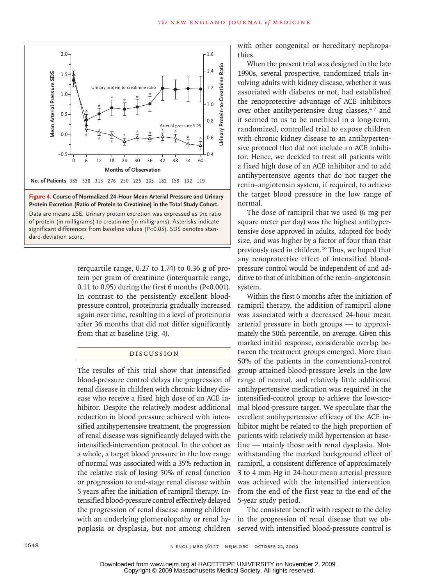



significant differences from baseline values (P<0.05). SDS denotes stan-Data are means ±SE. Urinary protein excretion was expressed as the ratio of protein (in milligrams) to creatinine (in milligrams). Asterisks indicate dard-deviation score.

**AUTHOR, PLEASE NOTE:**

terquartile range,  $0.27$  to  $1.74$ ) to  $0.36$  g of protein per gram of creatinine (interquartile range, 0.11 to 0.95) during the first 6 months ( $P<0.001$ ). In contrast to the persistently excellent bloodpressure control, proteinuria gradually increased again over time, resulting in a level of proteinuria after 36 months that did not differ significantly from that at baseline (Fig. 4).

# Discussion

The results of this trial show that intensified blood-pressure control delays the progression of renal disease in children with chronic kidney disease who receive a fixed high dose of an ACE inhibitor. Despite the relatively modest additional reduction in blood pressure achieved with intensified antihypertensive treatment, the progression of renal disease was significantly delayed with the intensified-intervention protocol. In the cohort as a whole, a target blood pressure in the low range of normal was associated with a 35% reduction in the relative risk of losing 50% of renal function or progression to end-stage renal disease within 5 years after the initiation of ramipril therapy. Intensified blood-pressure control effectively delayed the progression of renal disease among children with an underlying glomerulopathy or renal hywith other congenital or hereditary nephropathies.

When the present trial was designed in the late 1990s, several prospective, randomized trials involving adults with kidney disease, whether it was associated with diabetes or not, had established the renoprotective advantage of ACE inhibitors over other antihypertensive drug classes,<sup>4-7</sup> and it seemed to us to be unethical in a long-term, randomized, controlled trial to expose children with chronic kidney disease to an antihypertensive protocol that did not include an ACE inhibitor. Hence, we decided to treat all patients with a fixed high dose of an ACE inhibitor and to add antihypertensive agents that do not target the renin–angiotensin system, if required, to achieve the target blood pressure in the low range of normal.

The dose of ramipril that we used (6 mg per square meter per day) was the highest antihypertensive dose approved in adults, adapted for body size, and was higher by a factor of four than that previously used in children.<sup>19</sup> Thus, we hoped that any renoprotective effect of intensified bloodpressure control would be independent of and additive to that of inhibition of the renin–angiotensin system.

Within the first 6 months after the initiation of ramipril therapy, the addition of ramipril alone was associated with a decreased 24-hour mean arterial pressure in both groups — to approximately the 50th percentile, on average. Given this marked initial response, considerable overlap between the treatment groups emerged. More than 50% of the patients in the conventional-control group attained blood-pressure levels in the low range of normal, and relatively little additional antihypertensive medication was required in the intensified-control group to achieve the low-normal blood-pressure target. We speculate that the excellent antihypertensive efficacy of the ACE inhibitor might be related to the high proportion of patients with relatively mild hypertension at baseline — mainly those with renal dysplasia. Notwithstanding the marked background effect of ramipril, a consistent difference of approximately 3 to 4 mm Hg in 24-hour mean arterial pressure was achieved with the intensified intervention from the end of the first year to the end of the 5-year study period.

poplasia or dysplasia, but not among children served with intensified blood-pressure control is The consistent benefit with respect to the delay in the progression of renal disease that we ob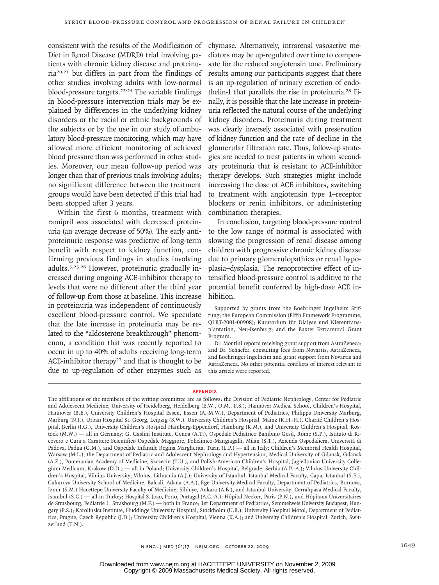consistent with the results of the Modification of Diet in Renal Disease (MDRD) trial involving patients with chronic kidney disease and proteinuria20,21 but differs in part from the findings of other studies involving adults with low-normal blood-pressure targets.22-24 The variable findings in blood-pressure intervention trials may be explained by differences in the underlying kidney disorders or the racial or ethnic backgrounds of the subjects or by the use in our study of ambulatory blood-pressure monitoring, which may have allowed more efficient monitoring of achieved blood pressure than was performed in other studies. Moreover, our mean follow-up period was longer than that of previous trials involving adults; no significant difference between the treatment groups would have been detected if this trial had been stopped after 3 years.

Within the first 6 months, treatment with ramipril was associated with decreased proteinuria (an average decrease of 50%). The early antiproteinuric response was predictive of long-term benefit with respect to kidney function, confirming previous findings in studies involving adults.5,25,26 However, proteinuria gradually increased during ongoing ACE-inhibitor therapy to levels that were no different after the third year of follow-up from those at baseline. This increase in proteinuria was independent of continuously excellent blood-pressure control. We speculate that the late increase in proteinuria may be related to the "aldosterone breakthrough" phenomenon, a condition that was recently reported to occur in up to 40% of adults receiving long-term ACE-inhibitor therapy<sup>27</sup> and that is thought to be due to up-regulation of other enzymes such as

chymase. Alternatively, intrarenal vasoactive mediators may be up-regulated over time to compensate for the reduced angiotensin tone. Preliminary results among our participants suggest that there is an up-regulation of urinary excretion of endothelin-1 that parallels the rise in proteinuria.<sup>28</sup> Finally, it is possible that the late increase in proteinuria reflected the natural course of the underlying kidney disorders. Proteinuria during treatment was clearly inversely associated with preservation of kidney function and the rate of decline in the glomerular filtration rate. Thus, follow-up strategies are needed to treat patients in whom secondary proteinuria that is resistant to ACE-inhibitor therapy develops. Such strategies might include increasing the dose of ACE inhibitors, switching to treatment with angiotensin type 1–receptor blockers or renin inhibitors, or administering combination therapies.

In conclusion, targeting blood-pressure control to the low range of normal is associated with slowing the progression of renal disease among children with progressive chronic kidney disease due to primary glomerulopathies or renal hypoplasia–dysplasia. The renoprotective effect of intensified blood-pressure control is additive to the potential benefit conferred by high-dose ACE inhibition.

Supported by grants from the Boehringer Ingelheim Stiftung; the European Commission (Fifth Framework Programme, QLRT-2001-00908); Kuratorium für Dialyse und Nierentransplantation, Neu-Isenburg; and the Baxter Extramural Grant Program.

Dr. Montini reports receiving grant support from AstraZeneca; and Dr. Schaefer, consulting fees from Novartis, AstraZeneca, and Boehringer Ingelheim and grant support from Novartis and AstraZeneca. No other potential conflicts of interest relevant to this article were reported.

#### **APPENDIX**

The affiliations of the members of the writing committee are as follows: the Division of Pediatric Nephrology, Center for Pediatric and Adolescent Medicine, University of Heidelberg, Heidelberg (E.W., O.M., F.S.), Hannover Medical School, Children's Hospital, Hannover (B.E.), University Children's Hospital Essen, Essen (A.-M.W.), Department of Pediatrics, Philipps University Marburg, Marburg (N.J.), Urban Hospital St. Georg, Leipzig (S.W.), University Children's Hospital, Mainz (K.H.-H.), Charité Children's Hospital, Berlin (J.G.), University Children's Hospital Hamburg-Eppendorf, Hamburg (K.M.), and University Children's Hospital, Rostock (M.W.) — all in Germany; G. Gaslini Institute, Genoa (A.T.), Ospedale Pediatrico Bambino Gesù, Rome (S.P.), Istituto di Ricovero e Cura a Carattere Scientifico Ospedale Maggiore, Policlinico-Mangiagalli, Milan (S.T.), Azienda Ospedaliera, Università di Padova, Padua (G.M.), and Ospedale Infantile Regina Margherita, Turin (L.P.) — all in Italy; Children's Memorial Health Hospital, Warsaw (M.L.), the Department of Pediatric and Adolescent Nephrology and Hypertension, Medical University of Gdansk, Gdansk (A.Z.), Pomeranian Academy of Medicine, Szczecin (T.U.), and Polish-American Children's Hospital, Jagiellonian University Collegium Medicum, Krakow (D.D.) — all in Poland; University Children's Hospital, Belgrade, Serbia (A.P.-A.); Vilnius University Children's Hospital, Vilnius University, Vilnius, Lithuania (A.J.); University of Istanbul, Istanbul Medical Faculty, Capa, Istanbul (S.E.), Cukurova University School of Medicine, Balcali, Adana (A.A.), Ege University Medical Faculty, Department of Pediatrics, Bornova, Izmir (S.M.) Hacettepe University Faculty of Medicine, Sihhiye, Ankara (A.B.), and Istanbul University, Cerrahpasa Medical Faculty, Istanbul (S.C.) — all in Turkey; Hospital S. Joao, Porto, Portugal (A.C.-A.); Hôpital Necker, Paris (P.N.), and Hôpitaux Universitaires de Strasbourg, Pediatrie 1, Strasbourg (M.F.) — both in France; 1st Department of Pediatrics, Semmelweis University Budapest, Hungary (P.S.); Karolinska Institute, Huddinge University Hospital, Stockholm (U.B.); University Hospital Motol, Department of Pediatrics, Prague, Czech Republic (J.D.); University Children's Hospital, Vienna (K.A.); and University Children's Hospital, Zurich, Switzerland (T.N.).